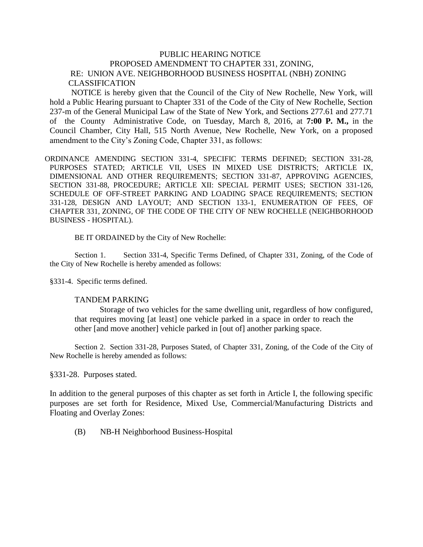## PUBLIC HEARING NOTICE PROPOSED AMENDMENT TO CHAPTER 331, ZONING, RE: UNION AVE. NEIGHBORHOOD BUSINESS HOSPITAL (NBH) ZONING CLASSIFICATION

 NOTICE is hereby given that the Council of the City of New Rochelle, New York, will hold a Public Hearing pursuant to Chapter 331 of the Code of the City of New Rochelle, Section 237-m of the General Municipal Law of the State of New York, and Sections 277.61 and 277.71 of the County Administrative Code, on Tuesday, March 8, 2016, at **7:00 P. M.,** in the Council Chamber, City Hall, 515 North Avenue, New Rochelle, New York, on a proposed amendment to the City's Zoning Code, Chapter 331, as follows:

ORDINANCE AMENDING SECTION 331-4, SPECIFIC TERMS DEFINED; SECTION 331-28, PURPOSES STATED; ARTICLE VII, USES IN MIXED USE DISTRICTS; ARTICLE IX, DIMENSIONAL AND OTHER REQUIREMENTS; SECTION 331-87, APPROVING AGENCIES, SECTION 331-88, PROCEDURE; ARTICLE XII: SPECIAL PERMIT USES; SECTION 331-126, SCHEDULE OF OFF-STREET PARKING AND LOADING SPACE REQUIREMENTS; SECTION 331-128, DESIGN AND LAYOUT; AND SECTION 133-1, ENUMERATION OF FEES, OF CHAPTER 331, ZONING*,* OF THE CODE OF THE CITY OF NEW ROCHELLE (NEIGHBORHOOD BUSINESS - HOSPITAL).

BE IT ORDAINED by the City of New Rochelle:

Section 1. Section 331-4, Specific Terms Defined, of Chapter 331, Zoning, of the Code of the City of New Rochelle is hereby amended as follows:

§331-4. Specific terms defined.

## TANDEM PARKING

 Storage of two vehicles for the same dwelling unit, regardless of how configured, that requires moving [at least] one vehicle parked in a space in order to reach the other [and move another] vehicle parked in [out of] another parking space.

Section 2. Section 331-28, Purposes Stated, of Chapter 331, Zoning, of the Code of the City of New Rochelle is hereby amended as follows:

§331-28. Purposes stated.

In addition to the general purposes of this chapter as set forth in Article I, the following specific purposes are set forth for Residence, Mixed Use, Commercial/Manufacturing Districts and Floating and Overlay Zones:

(B) NB-H Neighborhood Business-Hospital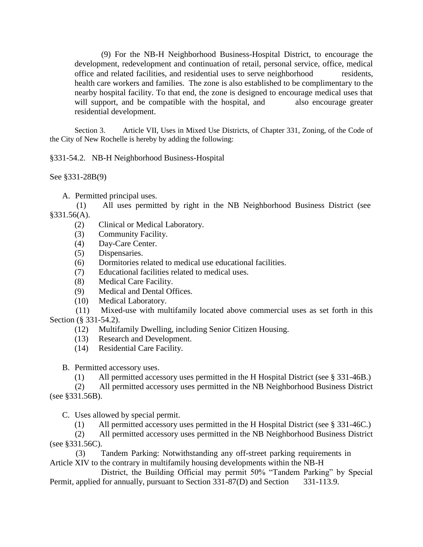(9) For the NB-H Neighborhood Business-Hospital District, to encourage the development, redevelopment and continuation of retail, personal service, office, medical office and related facilities, and residential uses to serve neighborhood residents, health care workers and families. The zone is also established to be complimentary to the nearby hospital facility. To that end, the zone is designed to encourage medical uses that will support, and be compatible with the hospital, and also encourage greater residential development.

Section 3. Article VII, Uses in Mixed Use Districts, of Chapter 331, Zoning, of the Code of the City of New Rochelle is hereby by adding the following:

§331-54.2. NB-H Neighborhood Business-Hospital

See §331-28B(9)

A. Permitted principal uses.

(1)All uses permitted by right in the NB Neighborhood Business District (see §331.56(A).

- (2) Clinical or Medical Laboratory.
- (3) Community Facility.
- (4) Day-Care Center.
- (5) Dispensaries.
- (6) Dormitories related to medical use educational facilities.
- (7) Educational facilities related to medical uses.
- (8) Medical Care Facility.
- (9) Medical and Dental Offices.
- (10) Medical Laboratory.

 (11) Mixed-use with multifamily located above commercial uses as set forth in this Section (§ 331-54.2).

- (12) Multifamily Dwelling, including Senior Citizen Housing.
- (13) Research and Development.
- (14) Residential Care Facility.

B. Permitted accessory uses.

(1) All permitted accessory uses permitted in the H Hospital District (see § 331-46B.)

 (2) All permitted accessory uses permitted in the NB Neighborhood Business District (see §331.56B).

C. Uses allowed by special permit.

(1) All permitted accessory uses permitted in the H Hospital District (see § 331-46C.)

 (2) All permitted accessory uses permitted in the NB Neighborhood Business District (see §331.56C).

 (3) Tandem Parking: Notwithstanding any off-street parking requirements in Article XIV to the contrary in multifamily housing developments within the NB-H

 District, the Building Official may permit 50% "Tandem Parking" by Special Permit, applied for annually, pursuant to Section 331-87(D) and Section 331-113.9.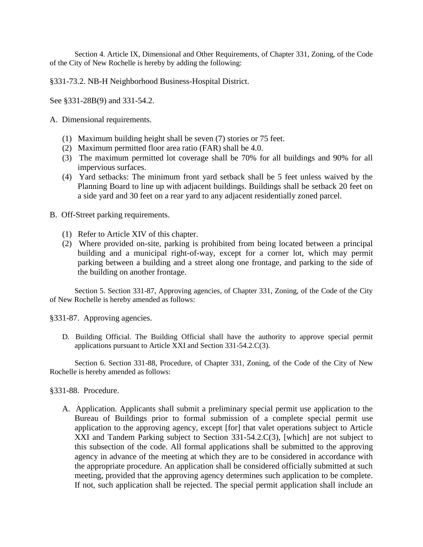Section 4. Article IX, Dimensional and Other Requirements, of Chapter 331, Zoning, of the Code of the City of New Rochelle is hereby by adding the following:

§331-73.2. NB-H Neighborhood Business-Hospital District.

See §331-28B(9) and 331-54.2.

- A. Dimensional requirements.
	- (1) Maximum building height shall be seven (7) stories or 75 feet.
	- (2) Maximum permitted floor area ratio (FAR) shall be 4.0.
	- (3) The maximum permitted lot coverage shall be 70% for all buildings and 90% for all impervious surfaces.
	- (4) Yard setbacks: The minimum front yard setback shall be 5 feet unless waived by the Planning Board to line up with adjacent buildings. Buildings shall be setback 20 feet on a side yard and 30 feet on a rear yard to any adjacent residentially zoned parcel.
- B. Off-Street parking requirements.
	- (1) Refer to Article XIV of this chapter.
	- (2) Where provided on-site, parking is prohibited from being located between a principal building and a municipal right-of-way, except for a corner lot, which may permit parking between a building and a street along one frontage, and parking to the side of the building on another frontage.

Section 5. Section 331-87, Approving agencies, of Chapter 331, Zoning, of the Code of the City of New Rochelle is hereby amended as follows:

§331-87. Approving agencies.

D. Building Official. The Building Official shall have the authority to approve special permit applications pursuant to Article XXI and Section 331-54.2.C(3).

Section 6. Section 331-88, Procedure, of Chapter 331, Zoning, of the Code of the City of New Rochelle is hereby amended as follows:

§331-88. Procedure.

A. Application. Applicants shall submit a preliminary special permit use application to the Bureau of Buildings prior to formal submission of a complete special permit use application to the approving agency, except [for] that valet operations subject to Article XXI and Tandem Parking subject to Section 331-54.2.C(3), [which] are not subject to this subsection of the code. All formal applications shall be submitted to the approving agency in advance of the meeting at which they are to be considered in accordance with the appropriate procedure. An application shall be considered officially submitted at such meeting, provided that the approving agency determines such application to be complete. If not, such application shall be rejected. The special permit application shall include an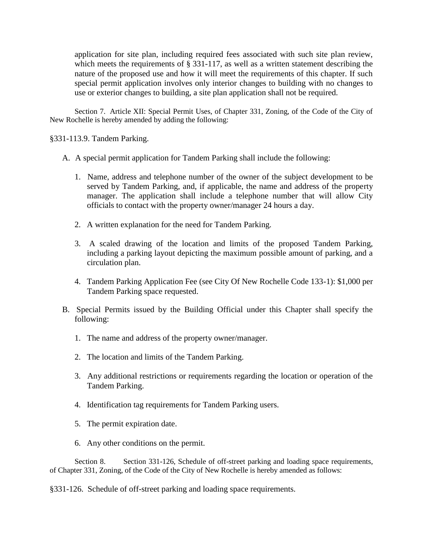application for site plan, including required fees associated with such site plan review, which meets the requirements of § 331-117, as well as a written statement describing the nature of the proposed use and how it will meet the requirements of this chapter. If such special permit application involves only interior changes to building with no changes to use or exterior changes to building, a site plan application shall not be required.

Section 7. Article XII: Special Permit Uses, of Chapter 331, Zoning, of the Code of the City of New Rochelle is hereby amended by adding the following:

§331-113.9. Tandem Parking.

- A. A special permit application for Tandem Parking shall include the following:
	- 1. Name, address and telephone number of the owner of the subject development to be served by Tandem Parking, and, if applicable, the name and address of the property manager. The application shall include a telephone number that will allow City officials to contact with the property owner/manager 24 hours a day.
	- 2. A written explanation for the need for Tandem Parking.
	- 3. A scaled drawing of the location and limits of the proposed Tandem Parking, including a parking layout depicting the maximum possible amount of parking, and a circulation plan.
	- 4. Tandem Parking Application Fee (see City Of New Rochelle Code 133-1): \$1,000 per Tandem Parking space requested.
- B. Special Permits issued by the Building Official under this Chapter shall specify the following:
	- 1. The name and address of the property owner/manager.
	- 2. The location and limits of the Tandem Parking.
	- 3. Any additional restrictions or requirements regarding the location or operation of the Tandem Parking.
	- 4. Identification tag requirements for Tandem Parking users.
	- 5. The permit expiration date.
	- 6. Any other conditions on the permit.

Section 8. Section 331-126, Schedule of off-street parking and loading space requirements, of Chapter 331, Zoning, of the Code of the City of New Rochelle is hereby amended as follows:

§331-126. Schedule of off-street parking and loading space requirements.